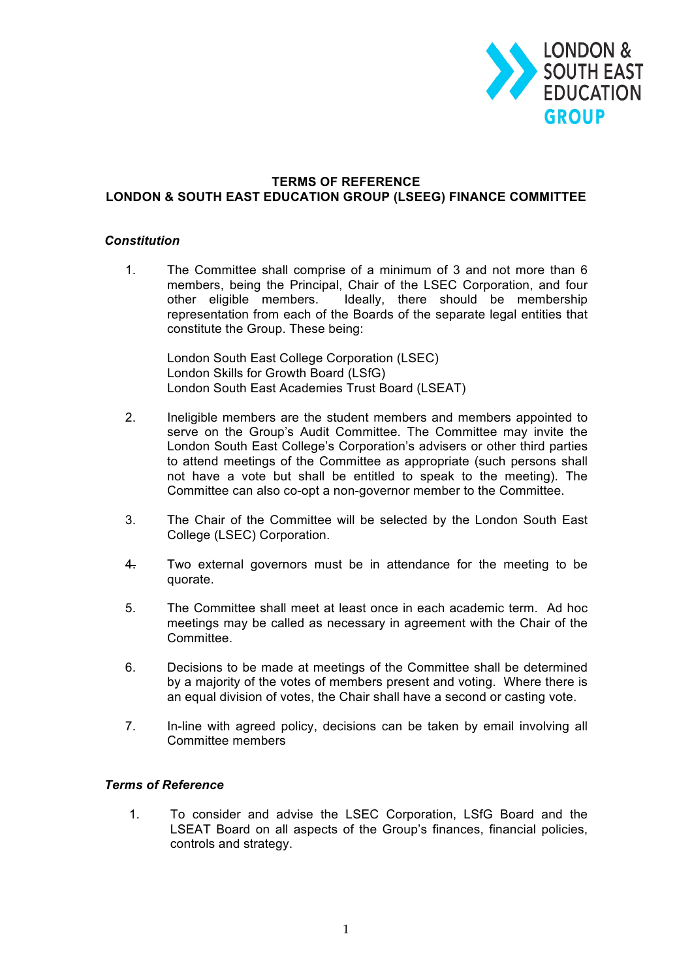

## **TERMS OF REFERENCE LONDON & SOUTH EAST EDUCATION GROUP (LSEEG) FINANCE COMMITTEE**

## *Constitution*

1. The Committee shall comprise of a minimum of 3 and not more than 6 members, being the Principal, Chair of the LSEC Corporation, and four other eligible members. Ideally, there should be membership representation from each of the Boards of the separate legal entities that constitute the Group. These being:

London South East College Corporation (LSEC) London Skills for Growth Board (LSfG) London South East Academies Trust Board (LSEAT)

- 2. Ineligible members are the student members and members appointed to serve on the Group's Audit Committee. The Committee may invite the London South East College's Corporation's advisers or other third parties to attend meetings of the Committee as appropriate (such persons shall not have a vote but shall be entitled to speak to the meeting). The Committee can also co-opt a non-governor member to the Committee.
- 3. The Chair of the Committee will be selected by the London South East College (LSEC) Corporation.
- 4. Two external governors must be in attendance for the meeting to be quorate.
- 5. The Committee shall meet at least once in each academic term. Ad hoc meetings may be called as necessary in agreement with the Chair of the Committee.
- 6. Decisions to be made at meetings of the Committee shall be determined by a majority of the votes of members present and voting. Where there is an equal division of votes, the Chair shall have a second or casting vote.
- 7. In-line with agreed policy, decisions can be taken by email involving all Committee members

## *Terms of Reference*

1. To consider and advise the LSEC Corporation, LSfG Board and the LSEAT Board on all aspects of the Group's finances, financial policies, controls and strategy.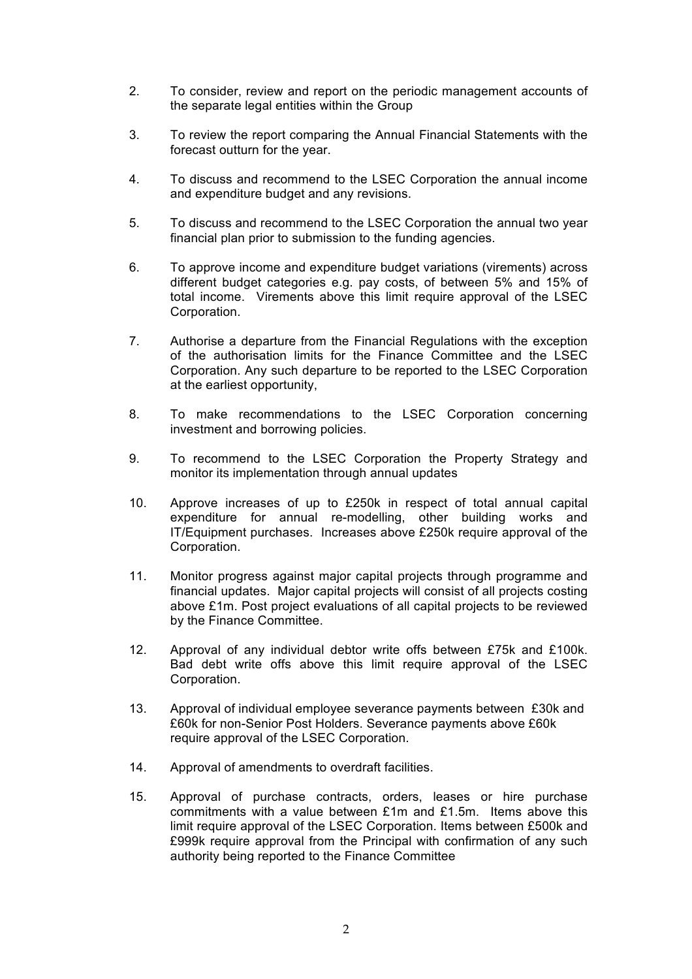- 2. To consider, review and report on the periodic management accounts of the separate legal entities within the Group
- 3. To review the report comparing the Annual Financial Statements with the forecast outturn for the year.
- 4. To discuss and recommend to the LSEC Corporation the annual income and expenditure budget and any revisions.
- 5. To discuss and recommend to the LSEC Corporation the annual two year financial plan prior to submission to the funding agencies.
- 6. To approve income and expenditure budget variations (virements) across different budget categories e.g. pay costs, of between 5% and 15% of total income. Virements above this limit require approval of the LSEC Corporation.
- 7. Authorise a departure from the Financial Regulations with the exception of the authorisation limits for the Finance Committee and the LSEC Corporation. Any such departure to be reported to the LSEC Corporation at the earliest opportunity,
- 8. To make recommendations to the LSEC Corporation concerning investment and borrowing policies.
- 9. To recommend to the LSEC Corporation the Property Strategy and monitor its implementation through annual updates
- 10. Approve increases of up to £250k in respect of total annual capital expenditure for annual re-modelling, other building works and IT/Equipment purchases. Increases above £250k require approval of the Corporation.
- 11. Monitor progress against major capital projects through programme and financial updates. Major capital projects will consist of all projects costing above £1m. Post project evaluations of all capital projects to be reviewed by the Finance Committee.
- 12. Approval of any individual debtor write offs between £75k and £100k. Bad debt write offs above this limit require approval of the LSEC Corporation.
- 13. Approval of individual employee severance payments between £30k and £60k for non-Senior Post Holders. Severance payments above £60k require approval of the LSEC Corporation.
- 14. Approval of amendments to overdraft facilities.
- 15. Approval of purchase contracts, orders, leases or hire purchase commitments with a value between £1m and £1.5m. Items above this limit require approval of the LSEC Corporation. Items between £500k and £999k require approval from the Principal with confirmation of any such authority being reported to the Finance Committee